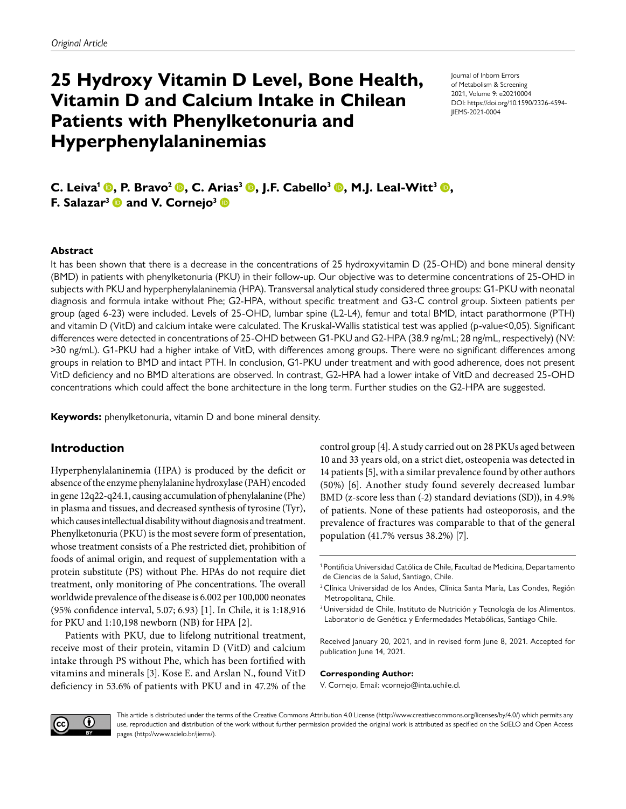# **25 Hydroxy Vitamin D Level, Bone Health, Vitamin D and Calcium Intake in Chilean Patients with Phenylketonuria and Hyperphenylalaninemias**

Journal of Inborn Errors of Metabolism & Screening 2021, Volume 9: e20210004 DOI: https://doi.org/10.1590/2326-4594- JIEMS-2021-0004

**C. Leiva<sup>1</sup> ©, P. Bravo<sup>2</sup> ©, C. Arias<sup>3</sup> ©, J.F. Cabello<sup>3</sup> ©, M.J. Leal-Witt<sup>3</sup> ©, F. Salazar<sup>3</sup>**  $\bullet$  **and V. Cornejo<sup>3</sup>** 

#### **Abstract**

It has been shown that there is a decrease in the concentrations of 25 hydroxyvitamin D (25-OHD) and bone mineral density (BMD) in patients with phenylketonuria (PKU) in their follow-up. Our objective was to determine concentrations of 25-OHD in subjects with PKU and hyperphenylalaninemia (HPA). Transversal analytical study considered three groups: G1-PKU with neonatal diagnosis and formula intake without Phe; G2-HPA, without specific treatment and G3-C control group. Sixteen patients per group (aged 6-23) were included. Levels of 25-OHD, lumbar spine (L2-L4), femur and total BMD, intact parathormone (PTH) and vitamin D (VitD) and calcium intake were calculated. The Kruskal-Wallis statistical test was applied (p-value<0,05). Significant differences were detected in concentrations of 25-OHD between G1-PKU and G2-HPA (38.9 ng/mL; 28 ng/mL, respectively) (NV: >30 ng/mL). G1-PKU had a higher intake of VitD, with differences among groups. There were no significant differences among groups in relation to BMD and intact PTH. In conclusion, G1-PKU under treatment and with good adherence, does not present VitD deficiency and no BMD alterations are observed. In contrast, G2-HPA had a lower intake of VitD and decreased 25-OHD concentrations which could affect the bone architecture in the long term. Further studies on the G2-HPA are suggested.

**Keywords:** phenylketonuria, vitamin D and bone mineral density.

### **Introduction**

Hyperphenylalaninemia (HPA) is produced by the deficit or absence of the enzyme phenylalanine hydroxylase (PAH) encoded in gene 12q22-q24.1, causing accumulation of phenylalanine (Phe) in plasma and tissues, and decreased synthesis of tyrosine (Tyr), which causes intellectual disability without diagnosis and treatment. Phenylketonuria (PKU) is the most severe form of presentation, whose treatment consists of a Phe restricted diet, prohibition of foods of animal origin, and request of supplementation with a protein substitute (PS) without Phe. HPAs do not require diet treatment, only monitoring of Phe concentrations. The overall worldwide prevalence of the disease is 6.002 per 100,000 neonates (95% confidence interval, 5.07; 6.93) [[1\]](#page-7-0). In Chile, it is 1:18,916 for PKU and 1:10,198 newborn (NB) for HPA [\[2](#page-7-1)].

Patients with PKU, due to lifelong nutritional treatment, receive most of their protein, vitamin D (VitD) and calcium intake through PS without Phe, which has been fortified with vitamins and minerals [\[3\]](#page-7-2). Kose E. and Arslan N., found VitD deficiency in 53.6% of patients with PKU and in 47.2% of the control group [\[4\]](#page-7-3). A study carried out on 28 PKUs aged between 10 and 33 years old, on a strict diet, osteopenia was detected in 14 patients [\[5](#page-7-4)], with a similar prevalence found by other authors (50%) [\[6](#page-7-5)]. Another study found severely decreased lumbar BMD (z-score less than (-2) standard deviations (SD)), in 4.9% of patients. None of these patients had osteoporosis, and the prevalence of fractures was comparable to that of the general population (41.7% versus 38.2%) [\[7](#page-7-6)].

Received January 20, 2021, and in revised form June 8, 2021. Accepted for publication June 14, 2021.

#### **Corresponding Author:**

V. Cornejo, Email: vcornejo@inta.uchile.cl.



This article is distributed under the terms of the Creative Commons Attribution 4.0 License [\(http://www.creativecommons.org/licenses/by/4.0/\)](http://www.creativecommons.org/licenses/by/4.0/) which permits any use, reproduction and distribution of the work without further permission provided the original work is attributed as specified on the SciELO and Open Access pages (<http://www.scielo.br/jiems/>).

<sup>1</sup>Pontificia Universidad Católica de Chile, Facultad de Medicina, Departamento de Ciencias de la Salud, Santiago, Chile.

<sup>&</sup>lt;sup>2</sup> Clínica Universidad de los Andes, Clínica Santa María, Las Condes, Región Metropolitana, Chile.

<sup>&</sup>lt;sup>3</sup> Universidad de Chile, Instituto de Nutrición y Tecnología de los Alimentos, Laboratorio de Genética y Enfermedades Metabólicas, Santiago Chile.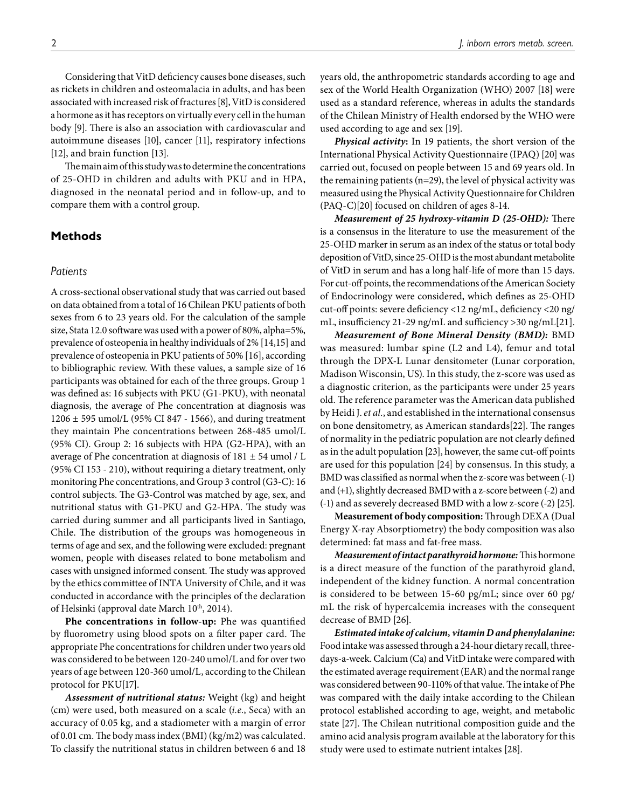Considering that VitD deficiency causes bone diseases, such as rickets in children and osteomalacia in adults, and has been associated with increased risk of fractures [\[8](#page-7-7)], VitD is considered a hormone as it has receptors on virtually every cell in the human body [\[9\]](#page-7-8). There is also an association with cardiovascular and autoimmune diseases [\[10\]](#page-7-9), cancer [\[11](#page-7-10)], respiratory infections [\[12](#page-7-11)], and brain function [\[13\]](#page-7-12).

The main aim of this study was to determine the concentrations of 25-OHD in children and adults with PKU and in HPA, diagnosed in the neonatal period and in follow-up, and to compare them with a control group.

## **Methods**

#### *Patients*

A cross-sectional observational study that was carried out based on data obtained from a total of 16 Chilean PKU patients of both sexes from 6 to 23 years old. For the calculation of the sample size, Stata 12.0 software was used with a power of 80%, alpha=5%, prevalence of osteopenia in healthy individuals of 2% [\[14,](#page-7-13)[15](#page-7-14)] and prevalence of osteopenia in PKU patients of 50% [\[16\]](#page-7-15), according to bibliographic review. With these values, a sample size of 16 participants was obtained for each of the three groups. Group 1 was defined as: 16 subjects with PKU (G1-PKU), with neonatal diagnosis, the average of Phe concentration at diagnosis was 1206 ± 595 umol/L (95% CI 847 - 1566), and during treatment they maintain Phe concentrations between 268-485 umol/L (95% CI). Group 2: 16 subjects with HPA (G2-HPA), with an average of Phe concentration at diagnosis of 181 ± 54 umol / L (95% CI 153 - 210), without requiring a dietary treatment, only monitoring Phe concentrations, and Group 3 control (G3-C): 16 control subjects. The G3-Control was matched by age, sex, and nutritional status with G1-PKU and G2-HPA. The study was carried during summer and all participants lived in Santiago, Chile. The distribution of the groups was homogeneous in terms of age and sex, and the following were excluded: pregnant women, people with diseases related to bone metabolism and cases with unsigned informed consent. The study was approved by the ethics committee of INTA University of Chile, and it was conducted in accordance with the principles of the declaration of Helsinki (approval date March 10<sup>th</sup>, 2014).

**Phe concentrations in follow-up:** Phe was quantified by fluorometry using blood spots on a filter paper card. The appropriate Phe concentrations for children under two years old was considered to be between 120-240 umol/L and for over two years of age between 120-360 umol/L, according to the Chilean protocol for PKU[\[17\]](#page-7-16).

*Assessment of nutritional status:* Weight (kg) and height (cm) were used, both measured on a scale (*i.e.*, Seca) with an accuracy of 0.05 kg, and a stadiometer with a margin of error of 0.01 cm. The body mass index (BMI) (kg/m2) was calculated. To classify the nutritional status in children between 6 and 18 years old, the anthropometric standards according to age and sex of the World Health Organization (WHO) 2007 [\[18\]](#page-8-0) were used as a standard reference, whereas in adults the standards of the Chilean Ministry of Health endorsed by the WHO were used according to age and sex [\[19](#page-8-1)].

*Physical activity***:** In 19 patients, the short version of the International Physical Activity Questionnaire (IPAQ) [\[20](#page-8-2)] was carried out, focused on people between 15 and 69 years old. In the remaining patients (n=29), the level of physical activity was measured using the Physical Activity Questionnaire for Children (PAQ-C)[\[20](#page-8-2)] focused on children of ages 8-14.

*Measurement of 25 hydroxy-vitamin D (25-OHD):* There is a consensus in the literature to use the measurement of the 25-OHD marker in serum as an index of the status or total body deposition of VitD, since 25-OHD is the most abundant metabolite of VitD in serum and has a long half-life of more than 15 days. For cut-off points, the recommendations of the American Society of Endocrinology were considered, which defines as 25-OHD cut-off points: severe deficiency <12 ng/mL, deficiency <20 ng/ mL, insufficiency 21-29 ng/mL and sufficiency >30 ng/mL[\[21\]](#page-8-3).

*Measurement of Bone Mineral Density (BMD):* BMD was measured: lumbar spine (L2 and L4), femur and total through the DPX-L Lunar densitometer (Lunar corporation, Madison Wisconsin, US). In this study, the z-score was used as a diagnostic criterion, as the participants were under 25 years old. The reference parameter was the American data published by Heidi J. *et al.*, and established in the international consensus on bone densitometry, as American standards[\[22](#page-8-4)]. The ranges of normality in the pediatric population are not clearly defined as in the adult population [\[23\]](#page-8-5), however, the same cut-off points are used for this population [\[24\]](#page-8-6) by consensus. In this study, a BMD was classified as normal when the z-score was between (-1) and (+1), slightly decreased BMD with a z-score between (-2) and (-1) and as severely decreased BMD with a low z-score (-2) [\[25](#page-8-7)].

**Measurement of body composition:** Through DEXA (Dual Energy X-ray Absorptiometry) the body composition was also determined: fat mass and fat-free mass.

*Measurement of intact parathyroid hormone:*This hormone is a direct measure of the function of the parathyroid gland, independent of the kidney function. A normal concentration is considered to be between 15-60 pg/mL; since over 60 pg/ mL the risk of hypercalcemia increases with the consequent decrease of BMD [\[26](#page-8-8)].

*Estimated intake of calcium, vitamin D and phenylalanine:* Food intake was assessed through a 24-hour dietary recall, threedays-a-week. Calcium (Ca) and VitD intake were compared with the estimated average requirement (EAR) and the normal range was considered between 90-110% of that value. The intake of Phe was compared with the daily intake according to the Chilean protocol established according to age, weight, and metabolic state [\[27](#page-8-9)]. The Chilean nutritional composition guide and the amino acid analysis program available at the laboratory for this study were used to estimate nutrient intakes [\[28\]](#page-8-10).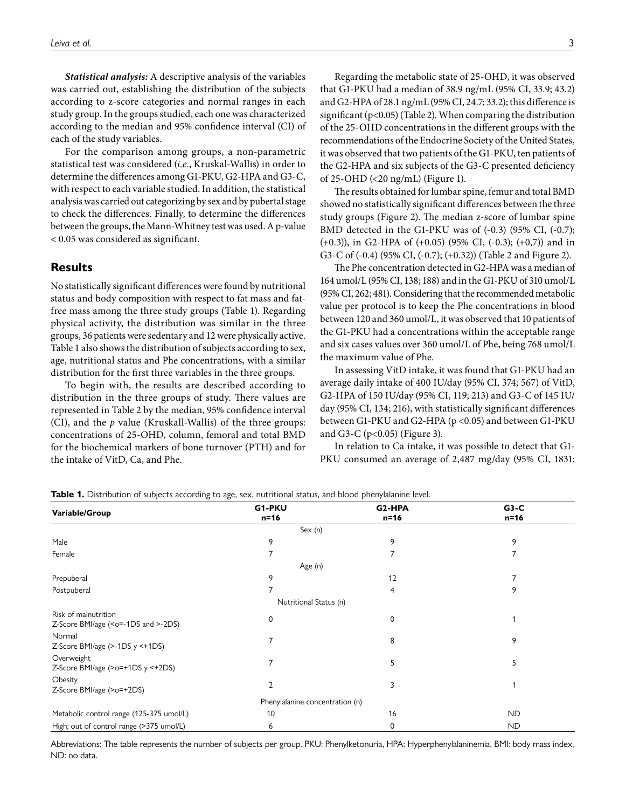*Statistical analysis:* A descriptive analysis of the variables was carried out, establishing the distribution of the subjects according to z-score categories and normal ranges in each study group. In the groups studied, each one was characterized according to the median and 95% confidence interval (CI) of each of the study variables.

For the comparison among groups, a non-parametric statistical test was considered (*i.e.*, Kruskal-Wallis) in order to determine the differences among G1-PKU, G2-HPA and G3-C, with respect to each variable studied. In addition, the statistical analysis was carried out categorizing by sex and by pubertal stage to check the differences. Finally, to determine the differences between the groups, the Mann-Whitney test was used. A p-value < 0.05 was considered as significant.

## **Results**

No statistically significant differences were found by nutritional status and body composition with respect to fat mass and fatfree mass among the three study groups [\(Table 1\)](#page-2-0). Regarding physical activity, the distribution was similar in the three groups, 36 patients were sedentary and 12 were physically active. [Table 1](#page-2-0) also shows the distribution of subjects according to sex, age, nutritional status and Phe concentrations, with a similar distribution for the first three variables in the three groups.

To begin with, the results are described according to distribution in the three groups of study. There values are represented in [Table 2](#page-3-0) by the median, 95% confidence interval (CI), and the *p* value (Kruskall-Wallis) of the three groups: concentrations of 25-OHD, column, femoral and total BMD for the biochemical markers of bone turnover (PTH) and for the intake of VitD, Ca, and Phe.

Regarding the metabolic state of 25-OHD, it was observed that G1-PKU had a median of 38.9 ng/mL (95% CI, 33.9; 43.2) and G2-HPA of 28.1 ng/mL (95% CI, 24.7; 33.2); this difference is significant ( $p$ <0.05) ([Table 2](#page-3-0)). When comparing the distribution of the 25-OHD concentrations in the different groups with the recommendations of the Endocrine Society of the United States, it was observed that two patients of the G1-PKU, ten patients of the G2-HPA and six subjects of the G3-C presented deficiency of 25-OHD (<20 ng/mL) [\(Figure 1\)](#page-3-1).

The results obtained for lumbar spine, femur and total BMD showed no statistically significant differences between the three study groups [\(Figure 2](#page-4-0)). The median z-score of lumbar spine BMD detected in the G1-PKU was of (-0.3) (95% CI, (-0.7); (+0.3)), in G2-HPA of (+0.05) (95% CI, (-0.3); (+0,7)) and in G3-C of (-0.4) (95% CI, (-0.7); (+0.32)) [\(Table 2](#page-3-0) and [Figure 2\)](#page-4-0).

The Phe concentration detected in G2-HPA was a median of 164 umol/L (95% CI, 138; 188) and in the G1-PKU of 310 umol/L (95% CI, 262; 481). Considering that the recommended metabolic value per protocol is to keep the Phe concentrations in blood between 120 and 360 umol/L, it was observed that 10 patients of the G1-PKU had a concentrations within the acceptable range and six cases values over 360 umol/L of Phe, being 768 umol/L the maximum value of Phe.

In assessing VitD intake, it was found that G1-PKU had an average daily intake of 400 IU/day (95% CI, 374; 567) of VitD, G2-HPA of 150 IU/day (95% CI, 119; 213) and G3-C of 145 IU/ day (95% CI, 134; 216), with statistically significant differences between G1-PKU and G2-HPA (p <0.05) and between G1-PKU and G3-C (p<0.05) [\(Figure 3\)](#page-4-1).

In relation to Ca intake, it was possible to detect that G1- PKU consumed an average of 2,487 mg/day (95% CI, 1831;

|                                                                         | G1-PKU                          | G <sub>2</sub> -HPA | $G3-C$    |  |  |
|-------------------------------------------------------------------------|---------------------------------|---------------------|-----------|--|--|
| Variable/Group                                                          | $n=16$<br>$n=16$                |                     | $n=16$    |  |  |
|                                                                         | Sex (n)                         |                     |           |  |  |
| Male                                                                    | 9                               | 9                   | 9         |  |  |
| Female                                                                  |                                 | 7                   | 7         |  |  |
|                                                                         | Age (n)                         |                     |           |  |  |
| Prepuberal                                                              | 9                               | 12                  |           |  |  |
| Postpuberal                                                             |                                 | 4                   | 9         |  |  |
|                                                                         | Nutritional Status (n)          |                     |           |  |  |
| Risk of malnutrition<br>Z-Score BMI/age ( <o=-1ds and="">-2DS)</o=-1ds> | $\Omega$                        | 0                   |           |  |  |
| Normal<br>Z-Score BMI/age (>-1DS y <+1DS)                               |                                 | 8                   | 9         |  |  |
| Overweight<br>Z-Score BMI/age (>o=+1DS y <+2DS)                         | $\overline{7}$                  | 5                   | 5         |  |  |
| Obesity<br>Z-Score BMI/age (>o=+2DS)                                    | $\overline{2}$                  | 3                   |           |  |  |
|                                                                         | Phenylalanine concentration (n) |                     |           |  |  |
| Metabolic control range (125-375 umol/L)                                | 10                              | 16                  | <b>ND</b> |  |  |
| High; out of control range (>375 umol/L)                                | 6                               | 0                   | <b>ND</b> |  |  |

<span id="page-2-0"></span>**Table 1.** Distribution of subjects according to age, sex, nutritional status, and blood phenylalanine level.

Abbreviations: The table represents the number of subjects per group. PKU: Phenylketonuria, HPA: Hyperphenylalaninemia, BMI: body mass index, ND: no data.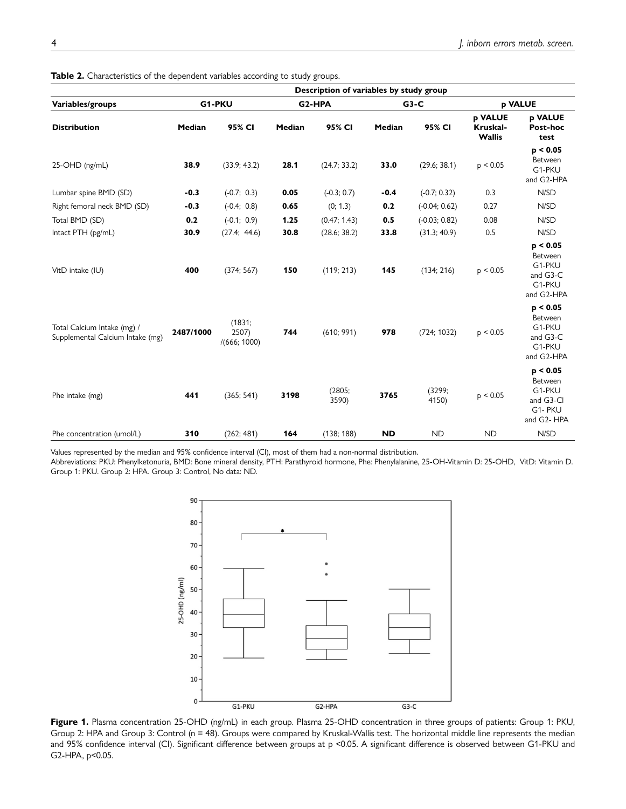| Variables/groups<br><b>Distribution</b>                         | Description of variables by study group |                                |                     |                 |           |                 |                                      |                                                                     |  |  |
|-----------------------------------------------------------------|-----------------------------------------|--------------------------------|---------------------|-----------------|-----------|-----------------|--------------------------------------|---------------------------------------------------------------------|--|--|
|                                                                 | G1-PKU                                  |                                | G <sub>2</sub> -HPA |                 | $G3-C$    |                 | p VALUE                              |                                                                     |  |  |
|                                                                 | Median                                  | 95% CI                         | <b>Median</b>       | 95% CI          | Median    | 95% CI          | p VALUE<br>Kruskal-<br><b>Wallis</b> | p VALUE<br>Post-hoc<br>test                                         |  |  |
| 25-OHD (ng/mL)                                                  | 38.9                                    | (33.9; 43.2)                   | 28.1                | (24.7; 33.2)    | 33.0      | (29.6; 38.1)    | p < 0.05                             | p < 0.05<br>Between<br>G1-PKU<br>and G2-HPA                         |  |  |
| Lumbar spine BMD (SD)                                           | $-0.3$                                  | $(-0.7; 0.3)$                  | 0.05                | $(-0.3; 0.7)$   | $-0.4$    | $(-0.7; 0.32)$  | 0.3                                  | N/SD                                                                |  |  |
| Right femoral neck BMD (SD)                                     | $-0.3$                                  | $(-0.4; 0.8)$                  | 0.65                | (0; 1.3)        | 0.2       | $(-0.04; 0.62)$ | 0.27                                 | N/SD                                                                |  |  |
| Total BMD (SD)                                                  | 0.2                                     | $(-0.1; 0.9)$                  | 1.25                | (0.47; 1.43)    | 0.5       | $(-0.03; 0.82)$ | 0.08                                 | N/SD                                                                |  |  |
| Intact PTH (pg/mL)                                              | 30.9                                    | (27.4; 44.6)                   | 30.8                | (28.6; 38.2)    | 33.8      | (31.3; 40.9)    | 0.5                                  | N/SD                                                                |  |  |
| VitD intake (IU)                                                | 400                                     | (374; 567)                     | 150                 | (119; 213)      | 145       | (134; 216)      | p < 0.05                             | p < 0.05<br>Between<br>G1-PKU<br>and G3-C<br>G1-PKU<br>and G2-HPA   |  |  |
| Total Calcium Intake (mg) /<br>Supplemental Calcium Intake (mg) | 2487/1000                               | (1831;<br>2507<br>/(666; 1000) | 744                 | (610; 991)      | 978       | (724; 1032)     | p < 0.05                             | p < 0.05<br>Between<br>G1-PKU<br>and G3-C<br>G1-PKU<br>and G2-HPA   |  |  |
| Phe intake (mg)                                                 | 441                                     | (365; 541)                     | 3198                | (2805;<br>3590) | 3765      | (3299;<br>4150) | p < 0.05                             | p < 0.05<br>Between<br>G1-PKU<br>and G3-Cl<br>G1-PKU<br>and G2- HPA |  |  |
| Phe concentration (umol/L)                                      | 310                                     | (262; 481)                     | 164                 | (138; 188)      | <b>ND</b> | <b>ND</b>       | <b>ND</b>                            | N/SD                                                                |  |  |

<span id="page-3-0"></span>Table 2. Characteristics of the dependent variables according to study groups.

Values represented by the median and 95% confidence interval (CI), most of them had a non-normal distribution.

Abbreviations: PKU: Phenylketonuria, BMD: Bone mineral density, PTH: Parathyroid hormone, Phe: Phenylalanine, 25-OH-Vitamin D: 25-OHD, VitD: Vitamin D. Group 1: PKU. Group 2: HPA. Group 3: Control, No data: ND.



<span id="page-3-1"></span>Figure 1. Plasma concentration 25-OHD (ng/mL) in each group. Plasma 25-OHD concentration in three groups of patients: Group 1: PKU, Group 2: HPA and Group 3: Control (n = 48). Groups were compared by Kruskal-Wallis test. The horizontal middle line represents the median and 95% confidence interval (CI). Significant difference between groups at p <0.05. A significant difference is observed between G1-PKU and G2-HPA, p<0.05.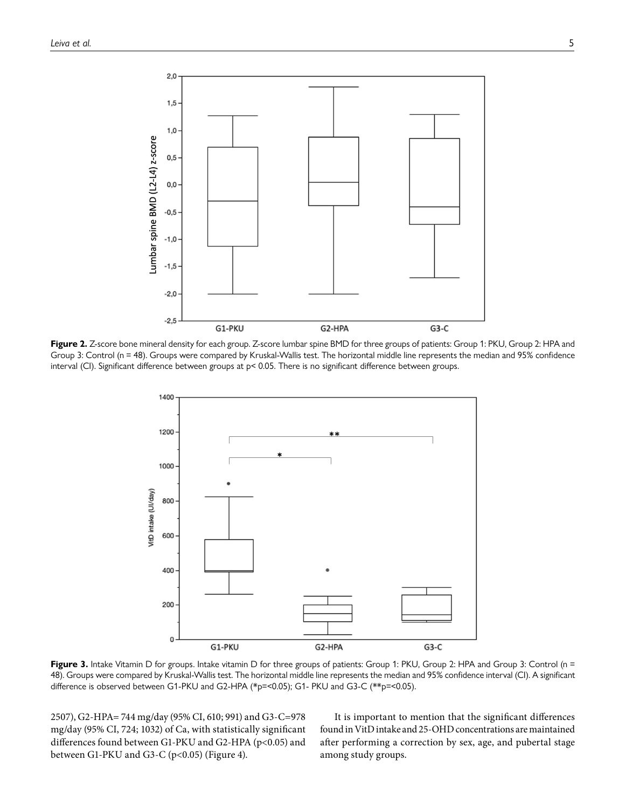

<span id="page-4-0"></span>Figure 2. Z-score bone mineral density for each group. Z-score lumbar spine BMD for three groups of patients: Group 1: PKU, Group 2: HPA and Group 3: Control (n = 48). Groups were compared by Kruskal-Wallis test. The horizontal middle line represents the median and 95% confidence interval (CI). Significant difference between groups at p< 0.05. There is no significant difference between groups.



<span id="page-4-1"></span>Figure 3. Intake Vitamin D for groups. Intake vitamin D for three groups of patients: Group 1: PKU, Group 2: HPA and Group 3: Control (n = 48). Groups were compared by Kruskal-Wallis test. The horizontal middle line represents the median and 95% confidence interval (CI). A significant difference is observed between G1-PKU and G2-HPA (\*p=<0.05); G1- PKU and G3-C (\*\*p=<0.05).

2507), G2-HPA= 744 mg/day (95% CI, 610; 991) and G3-C=978 mg/day (95% CI, 724; 1032) of Ca, with statistically significant differences found between G1-PKU and G2-HPA (p<0.05) and between G1-PKU and G3-C (p<0.05) [\(Figure 4\)](#page-5-0).

It is important to mention that the significant differences found in VitD intake and 25-OHD concentrations are maintained after performing a correction by sex, age, and pubertal stage among study groups.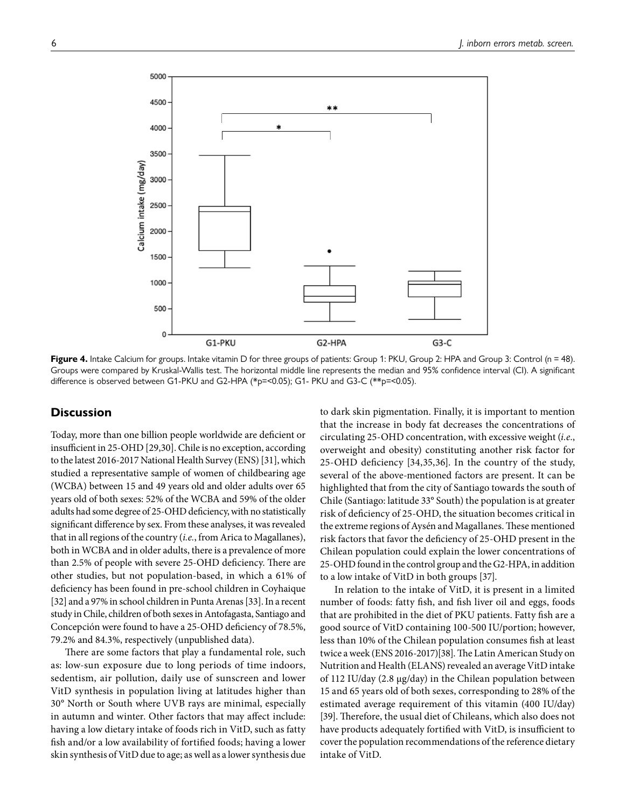

<span id="page-5-0"></span>Figure 4. Intake Calcium for groups. Intake vitamin D for three groups of patients: Group 1: PKU, Group 2: HPA and Group 3: Control (n = 48). Groups were compared by Kruskal-Wallis test. The horizontal middle line represents the median and 95% confidence interval (CI). A significant difference is observed between G1-PKU and G2-HPA (\*p=<0.05); G1- PKU and G3-C (\*\*p=<0.05).

### **Discussion**

Today, more than one billion people worldwide are deficient or insufficient in 25-OHD [[29](#page-8-11)[,30\]](#page-8-12). Chile is no exception, according to the latest 2016-2017 National Health Survey (ENS) [[31\]](#page-8-13), which studied a representative sample of women of childbearing age (WCBA) between 15 and 49 years old and older adults over 65 years old of both sexes: 52% of the WCBA and 59% of the older adults had some degree of 25-OHD deficiency, with no statistically significant difference by sex. From these analyses, it was revealed that in all regions of the country (*i.e.*, from Arica to Magallanes), both in WCBA and in older adults, there is a prevalence of more than 2.5% of people with severe 25-OHD deficiency. There are other studies, but not population-based, in which a 61% of deficiency has been found in pre-school children in Coyhaique [\[32](#page-8-14)] and a 97% in school children in Punta Arenas [\[33](#page-8-15)]. In a recent study in Chile, children of both sexes in Antofagasta, Santiago and Concepción were found to have a 25-OHD deficiency of 78.5%, 79.2% and 84.3%, respectively (unpublished data).

There are some factors that play a fundamental role, such as: low-sun exposure due to long periods of time indoors, sedentism, air pollution, daily use of sunscreen and lower VitD synthesis in population living at latitudes higher than 30° North or South where UVB rays are minimal, especially in autumn and winter. Other factors that may affect include: having a low dietary intake of foods rich in VitD, such as fatty fish and/or a low availability of fortified foods; having a lower skin synthesis of VitD due to age; as well as a lower synthesis due to dark skin pigmentation. Finally, it is important to mention that the increase in body fat decreases the concentrations of circulating 25-OHD concentration, with excessive weight (*i.e.*, overweight and obesity) constituting another risk factor for 25-OHD deficiency [\[34](#page-8-16),[35](#page-8-17),[36](#page-8-18)]. In the country of the study, several of the above-mentioned factors are present. It can be highlighted that from the city of Santiago towards the south of Chile (Santiago: latitude 33° South) the population is at greater risk of deficiency of 25-OHD, the situation becomes critical in the extreme regions of Aysén and Magallanes. These mentioned risk factors that favor the deficiency of 25-OHD present in the Chilean population could explain the lower concentrations of 25-OHD found in the control group and the G2-HPA, in addition to a low intake of VitD in both groups [\[37](#page-8-19)].

In relation to the intake of VitD, it is present in a limited number of foods: fatty fish, and fish liver oil and eggs, foods that are prohibited in the diet of PKU patients. Fatty fish are a good source of VitD containing 100-500 IU/portion; however, less than 10% of the Chilean population consumes fish at least twice a week (ENS 2016-2017)[\[38\]](#page-8-20). The Latin American Study on Nutrition and Health (ELANS) revealed an average VitD intake of 112 IU/day (2.8 µg/day) in the Chilean population between 15 and 65 years old of both sexes, corresponding to 28% of the estimated average requirement of this vitamin (400 IU/day) [\[39](#page-8-21)]. Therefore, the usual diet of Chileans, which also does not have products adequately fortified with VitD, is insufficient to cover the population recommendations of the reference dietary intake of VitD.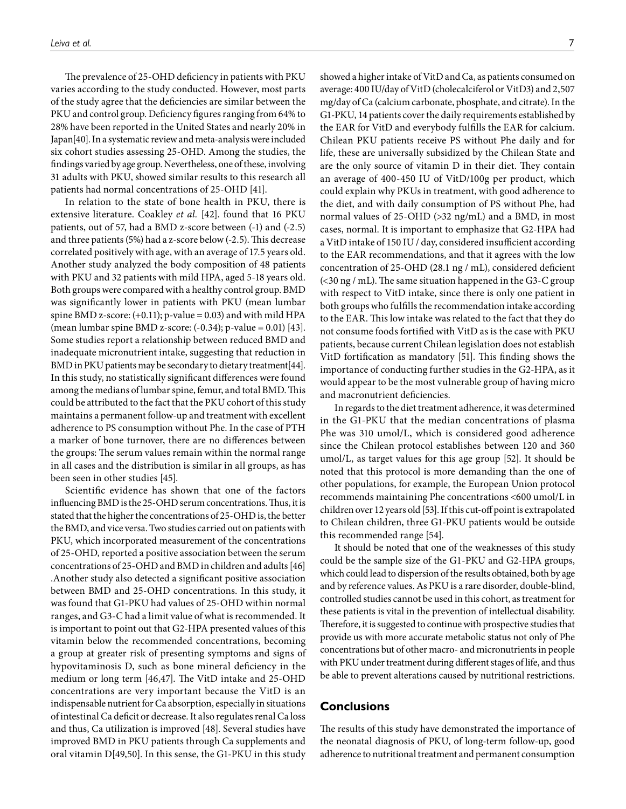The prevalence of 25-OHD deficiency in patients with PKU varies according to the study conducted. However, most parts of the study agree that the deficiencies are similar between the PKU and control group. Deficiency figures ranging from 64% to 28% have been reported in the United States and nearly 20% in Japan[\[40](#page-8-22)]. In a systematic review and meta-analysis were included six cohort studies assessing 25-OHD. Among the studies, the findings varied by age group. Nevertheless, one of these, involving 31 adults with PKU, showed similar results to this research all patients had normal concentrations of 25-OHD [\[41\]](#page-8-23).

In relation to the state of bone health in PKU, there is extensive literature. Coakley *et al.* [\[42\]](#page-8-24). found that 16 PKU patients, out of 57, had a BMD z-score between (-1) and (-2.5) and three patients (5%) had a z-score below (-2.5). This decrease correlated positively with age, with an average of 17.5 years old. Another study analyzed the body composition of 48 patients with PKU and 32 patients with mild HPA, aged 5-18 years old. Both groups were compared with a healthy control group. BMD was significantly lower in patients with PKU (mean lumbar spine BMD z-score:  $(+0.11)$ ; p-value = 0.03) and with mild HPA (mean lumbar spine BMD z-score: (-0.34); p-value = 0.01) [\[43\]](#page-9-0). Some studies report a relationship between reduced BMD and inadequate micronutrient intake, suggesting that reduction in BMD in PKU patients may be secondary to dietary treatment[\[44\]](#page-9-1). In this study, no statistically significant differences were found among the medians of lumbar spine, femur, and total BMD. This could be attributed to the fact that the PKU cohort of this study maintains a permanent follow-up and treatment with excellent adherence to PS consumption without Phe. In the case of PTH a marker of bone turnover, there are no differences between the groups: The serum values remain within the normal range in all cases and the distribution is similar in all groups, as has been seen in other studies [[45\]](#page-9-2).

Scientific evidence has shown that one of the factors influencing BMD is the 25-OHD serum concentrations. Thus, it is stated that the higher the concentrations of 25-OHD is, the better the BMD, and vice versa. Two studies carried out on patients with PKU, which incorporated measurement of the concentrations of 25-OHD, reported a positive association between the serum concentrations of 25-OHD and BMD in children and adults [\[46\]](#page-9-3) .Another study also detected a significant positive association between BMD and 25-OHD concentrations. In this study, it was found that G1-PKU had values of 25-OHD within normal ranges, and G3-C had a limit value of what is recommended. It is important to point out that G2-HPA presented values of this vitamin below the recommended concentrations, becoming a group at greater risk of presenting symptoms and signs of hypovitaminosis D, such as bone mineral deficiency in the medium or long term [\[46](#page-9-3)[,47](#page-9-4)]. The VitD intake and 25-OHD concentrations are very important because the VitD is an indispensable nutrient for Ca absorption, especially in situations of intestinal Ca deficit or decrease. It also regulates renal Ca loss and thus, Ca utilization is improved [\[48](#page-9-5)]. Several studies have improved BMD in PKU patients through Ca supplements and oral vitamin D[\[49](#page-9-6),[50\]](#page-9-7). In this sense, the G1-PKU in this study

showed a higher intake of VitD and Ca, as patients consumed on average: 400 IU/day of VitD (cholecalciferol or VitD3) and 2,507 mg/day of Ca (calcium carbonate, phosphate, and citrate). In the G1-PKU, 14 patients cover the daily requirements established by the EAR for VitD and everybody fulfills the EAR for calcium. Chilean PKU patients receive PS without Phe daily and for life, these are universally subsidized by the Chilean State and are the only source of vitamin D in their diet. They contain an average of 400-450 IU of VitD/100g per product, which could explain why PKUs in treatment, with good adherence to the diet, and with daily consumption of PS without Phe, had normal values of 25-OHD (>32 ng/mL) and a BMD, in most cases, normal. It is important to emphasize that G2-HPA had a VitD intake of 150 IU / day, considered insufficient according to the EAR recommendations, and that it agrees with the low concentration of 25-OHD (28.1 ng / mL), considered deficient (<30 ng / mL). The same situation happened in the G3-C group with respect to VitD intake, since there is only one patient in both groups who fulfills the recommendation intake according to the EAR. This low intake was related to the fact that they do not consume foods fortified with VitD as is the case with PKU patients, because current Chilean legislation does not establish VitD fortification as mandatory [\[51\]](#page-9-8). This finding shows the importance of conducting further studies in the G2-HPA, as it would appear to be the most vulnerable group of having micro and macronutrient deficiencies.

In regards to the diet treatment adherence, it was determined in the G1-PKU that the median concentrations of plasma Phe was 310 umol/L, which is considered good adherence since the Chilean protocol establishes between 120 and 360 umol/L, as target values for this age group [\[52\]](#page-9-9). It should be noted that this protocol is more demanding than the one of other populations, for example, the European Union protocol recommends maintaining Phe concentrations <600 umol/L in children over 12 years old [\[53\]](#page-9-10). If this cut-off point is extrapolated to Chilean children, three G1-PKU patients would be outside this recommended range [\[54\]](#page-9-11).

It should be noted that one of the weaknesses of this study could be the sample size of the G1-PKU and G2-HPA groups, which could lead to dispersion of the results obtained, both by age and by reference values. As PKU is a rare disorder, double-blind, controlled studies cannot be used in this cohort, as treatment for these patients is vital in the prevention of intellectual disability. Therefore, it is suggested to continue with prospective studies that provide us with more accurate metabolic status not only of Phe concentrations but of other macro- and micronutrients in people with PKU under treatment during different stages of life, and thus be able to prevent alterations caused by nutritional restrictions.

#### **Conclusions**

The results of this study have demonstrated the importance of the neonatal diagnosis of PKU, of long-term follow-up, good adherence to nutritional treatment and permanent consumption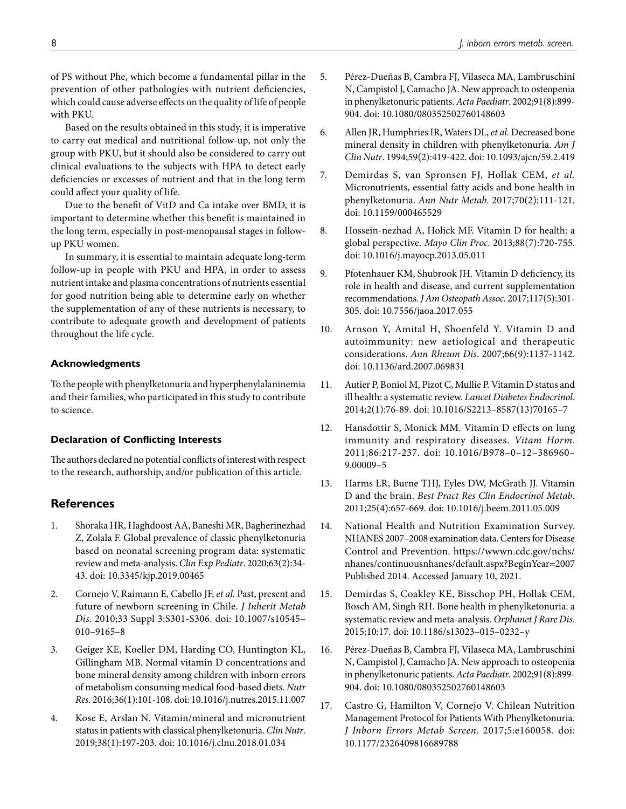of PS without Phe, which become a fundamental pillar in the prevention of other pathologies with nutrient deficiencies, which could cause adverse effects on the quality of life of people with PKU.

Based on the results obtained in this study, it is imperative to carry out medical and nutritional follow-up, not only the group with PKU, but it should also be considered to carry out clinical evaluations to the subjects with HPA to detect early deficiencies or excesses of nutrient and that in the long term could affect your quality of life.

Due to the benefit of VitD and Ca intake over BMD, it is important to determine whether this benefit is maintained in the long term, especially in post-menopausal stages in followup PKU women.

In summary, it is essential to maintain adequate long-term follow-up in people with PKU and HPA, in order to assess nutrient intake and plasma concentrations of nutrients essential for good nutrition being able to determine early on whether the supplementation of any of these nutrients is necessary, to contribute to adequate growth and development of patients throughout the life cycle.

## **Acknowledgments**

To the people with phenylketonuria and hyperphenylalaninemia and their families, who participated in this study to contribute to science.

### **Declaration of Conflicting Interests**

The authors declared no potential conflicts of interest with respect to the research, authorship, and/or publication of this article.

## **References**

- <span id="page-7-0"></span>1. Shoraka HR, Haghdoost AA, Baneshi MR, Bagherinezhad Z, Zolala F. Global prevalence of classic phenylketonuria based on neonatal screening program data: systematic review and meta-analysis. *Clin Exp Pediatr*. 2020;63(2):34- 43. doi: [10.3345/kjp.2019.00465](https://doi.org/10.3345/kjp.2019.00465)
- <span id="page-7-1"></span>2. Cornejo V, Raimann E, Cabello JF, *et al.* Past, present and future of newborn screening in Chile. *J Inherit Metab Dis*. 2010;33 Suppl 3:S301-S306. doi: [10.1007/s10545–](https://doi.org/10.1007/s10545–010–9165–8) [010–9165–8](https://doi.org/10.1007/s10545–010–9165–8)
- <span id="page-7-2"></span>3. Geiger KE, Koeller DM, Harding CO, Huntington KL, Gillingham MB. Normal vitamin D concentrations and bone mineral density among children with inborn errors of metabolism consuming medical food-based diets. *Nutr Res*. 2016;36(1):101-108. doi: [10.1016/j.nutres.2015.11.007](https://doi.org/10.1016/j.nutres.2015.11.007)
- <span id="page-7-3"></span>4. Kose E, Arslan N. Vitamin/mineral and micronutrient status in patients with classical phenylketonuria. *Clin Nutr*. 2019;38(1):197-203. doi: [10.1016/j.clnu.2018.01.034](https://doi.org/10.1016/j.clnu.2018.01.034)
- <span id="page-7-4"></span>5. Pérez-Dueñas B, Cambra FJ, Vilaseca MA, Lambruschini N, Campistol J, Camacho JA. New approach to osteopenia in phenylketonuric patients. *Acta Paediatr*. 2002;91(8):899- 904. doi: [10.1080/080352502760148603](https://doi.org/10.1080/080352502760148603)
- <span id="page-7-5"></span>6. Allen JR, Humphries IR, Waters DL, *et al.* Decreased bone mineral density in children with phenylketonuria. *Am J Clin Nutr*. 1994;59(2):419-422. doi: [10.1093/ajcn/59.2.419](https://doi.org/10.1093/ajcn/59.2.419)
- <span id="page-7-6"></span>7. Demirdas S, van Spronsen FJ, Hollak CEM, *et al.* Micronutrients, essential fatty acids and bone health in phenylketonuria. *Ann Nutr Metab*. 2017;70(2):111-121. doi: [10.1159/000465529](https://doi.org/10.1159/000465529)
- <span id="page-7-7"></span>8. Hossein-nezhad A, Holick MF. Vitamin D for health: a global perspective. *Mayo Clin Proc*. 2013;88(7):720-755. doi: [10.1016/j.mayocp.2013.05.011](https://doi.org/10.1016/j.mayocp.2013.05.011)
- <span id="page-7-8"></span>9. Pfotenhauer KM, Shubrook JH. Vitamin D deficiency, its role in health and disease, and current supplementation recommendations. *J Am Osteopath Assoc*. 2017;117(5):301- 305. doi: [10.7556/jaoa.2017.055](https://doi.org/10.7556/jaoa.2017.055)
- <span id="page-7-9"></span>10. Arnson Y, Amital H, Shoenfeld Y. Vitamin D and autoimmunity: new aetiological and therapeutic considerations. *Ann Rheum Dis*. 2007;66(9):1137-1142. doi: [10.1136/ard.2007.069831](https://doi.org/10.1136/ard.2007.069831)
- <span id="page-7-10"></span>11. Autier P, Boniol M, Pizot C, Mullie P. Vitamin D status and ill health: a systematic review. *Lancet Diabetes Endocrinol*. 2014;2(1):76-89. doi: [10.1016/S2213–8587\(13\)70165–7](https://doi.org/10.1016/S2213–8587(13)70165–7)
- <span id="page-7-11"></span>12. Hansdottir S, Monick MM. Vitamin D effects on lung immunity and respiratory diseases. *Vitam Horm*. 2011;86:217-237. doi: [10.1016/B978–0–12–386960–](https://doi.org/10.1016/B978–0–12–386960–9.00009–5) [9.00009–5](https://doi.org/10.1016/B978–0–12–386960–9.00009–5)
- <span id="page-7-12"></span>13. Harms LR, Burne THJ, Eyles DW, McGrath JJ. Vitamin D and the brain. *Best Pract Res Clin Endocrinol Metab*. 2011;25(4):657-669. doi: [10.1016/j.beem.2011.05.009](https://doi.org/10.1016/j.beem.2011.05.009)
- <span id="page-7-13"></span>14. National Health and Nutrition Examination Survey. NHANES 2007–2008 examination data. Centers for Disease Control and Prevention. [https://wwwn.cdc.gov/nchs/](https://wwwn.cdc.gov/nchs/nhanes/continuousnhanes/default.aspx?BeginYear=2007) [nhanes/continuousnhanes/default.aspx?BeginYear=2007](https://wwwn.cdc.gov/nchs/nhanes/continuousnhanes/default.aspx?BeginYear=2007) Published 2014. Accessed January 10, 2021.
- <span id="page-7-14"></span>15. Demirdas S, Coakley KE, Bisschop PH, Hollak CEM, Bosch AM, Singh RH. Bone health in phenylketonuria: a systematic review and meta-analysis. *Orphanet J Rare Dis*. 2015;10:17. doi: [10.1186/s13023–015–0232–y](https://doi.org/10.1186/s13023–015–0232–y)
- <span id="page-7-15"></span>16. Pérez-Dueñas B, Cambra FJ, Vilaseca MA, Lambruschini N, Campistol J, Camacho JA. New approach to osteopenia in phenylketonuric patients. *Acta Paediatr*. 2002;91(8):899- 904. doi: 10.1080/080352502760148603
- <span id="page-7-16"></span>17. Castro G, Hamilton V, Cornejo V. Chilean Nutrition Management Protocol for Patients With Phenylketonuria. *J Inborn Errors Metab Screen*. 2017;5:e160058. doi: [10.1177/2326409816689788](https://doi.org/10.1177/2326409816689788)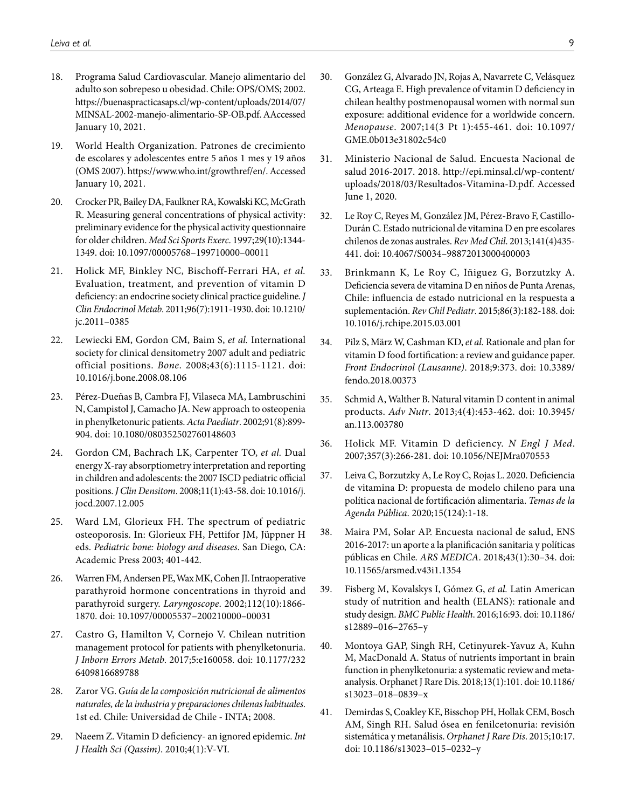- <span id="page-8-0"></span>18. Programa Salud Cardiovascular. Manejo alimentario del adulto son sobrepeso u obesidad. Chile: OPS/OMS; 2002. [https://buenaspracticasaps.cl/wp-content/uploads/2014/07/](https://buenaspracticasaps.cl/wp-content/uploads/2014/07/MINSAL-2002-manejo-alimentario-SP-OB.pdf) [MINSAL-2002-manejo-alimentario-SP-OB.pdf.](https://buenaspracticasaps.cl/wp-content/uploads/2014/07/MINSAL-2002-manejo-alimentario-SP-OB.pdf) AAccessed January 10, 2021.
- <span id="page-8-1"></span>19. World Health Organization. Patrones de crecimiento de escolares y adolescentes entre 5 años 1 mes y 19 años (OMS 2007). [https://www.who.int/growthref/en/.](https://www.who.int/growthref/en/) Accessed January 10, 2021.
- <span id="page-8-2"></span>20. Crocker PR, Bailey DA, Faulkner RA, Kowalski KC, McGrath R. Measuring general concentrations of physical activity: preliminary evidence for the physical activity questionnaire for older children. *Med Sci Sports Exerc*. 1997;29(10):1344- 1349. doi: [10.1097/00005768–199710000–00011](https://doi.org/10.1097/00005768-199710000-00011)
- <span id="page-8-3"></span>21. Holick MF, Binkley NC, Bischoff-Ferrari HA, *et al.* Evaluation, treatment, and prevention of vitamin D deficiency: an endocrine society clinical practice guideline. *J Clin Endocrinol Metab*. 2011;96(7):1911-1930. doi: [10.1210/](https://doi.org/10.1210/jc.2011-0385) [jc.2011–0385](https://doi.org/10.1210/jc.2011-0385)
- <span id="page-8-4"></span>22. Lewiecki EM, Gordon CM, Baim S, *et al.* International society for clinical densitometry 2007 adult and pediatric official positions. *Bone*. 2008;43(6):1115-1121. doi: [10.1016/j.bone.2008.08.106](https://doi.org/10.1016/j.bone.2008.08.106)
- <span id="page-8-5"></span>23. Pérez-Dueñas B, Cambra FJ, Vilaseca MA, Lambruschini N, Campistol J, Camacho JA. New approach to osteopenia in phenylketonuric patients. *Acta Paediatr*. 2002;91(8):899- 904. doi: [10.1080/080352502760148603](https://doi.org/10.1080/080352502760148603)
- <span id="page-8-6"></span>24. Gordon CM, Bachrach LK, Carpenter TO, *et al.* Dual energy X-ray absorptiometry interpretation and reporting in children and adolescents: the 2007 ISCD pediatric official positions. *J Clin Densitom*. 2008;11(1):43-58. doi: [10.1016/j.](https://doi.org/10.1016/j.jocd.2007.12.005) [jocd.2007.12.005](https://doi.org/10.1016/j.jocd.2007.12.005)
- <span id="page-8-7"></span>25. Ward LM, Glorieux FH. The spectrum of pediatric osteoporosis. In: Glorieux FH, Pettifor JM, Jüppner H eds. *Pediatric bone: biology and diseases*. San Diego, CA: Academic Press 2003; 401-442.
- <span id="page-8-8"></span>26. Warren FM, Andersen PE, Wax MK, Cohen JI. Intraoperative parathyroid hormone concentrations in thyroid and parathyroid surgery. *Laryngoscope*. 2002;112(10):1866- 1870. doi: [10.1097/00005537–200210000–00031](https://doi.org/10.1097/00005537-200210000-00031)
- <span id="page-8-9"></span>27. Castro G, Hamilton V, Cornejo V. Chilean nutrition management protocol for patients with phenylketonuria. *J Inborn Errors Metab*. 2017;5:e160058. doi: [10.1177/232](https://doi.org/10.1177/2326409816689788) [6409816689788](https://doi.org/10.1177/2326409816689788)
- <span id="page-8-11"></span><span id="page-8-10"></span>28. Zaror VG. *Guía de la composición nutricional de alimentos naturales, de la industria y preparaciones chilenas habituales*. 1st ed. Chile: Universidad de Chile - INTA; 2008.
- <span id="page-8-12"></span>29. Naeem Z. Vitamin D deficiency- an ignored epidemic. *Int J Health Sci (Qassim)*. 2010;4(1):V-VI.
- <span id="page-8-13"></span>30. González G, Alvarado JN, Rojas A, Navarrete C, Velásquez CG, Arteaga E. High prevalence of vitamin D deficiency in chilean healthy postmenopausal women with normal sun exposure: additional evidence for a worldwide concern. *Menopause*. 2007;14(3 Pt 1):455-461. doi: [10.1097/](https://doi.org/10.1097/GME.0b013e31802c54c0) [GME.0b013e31802c54c0](https://doi.org/10.1097/GME.0b013e31802c54c0)
- <span id="page-8-14"></span>31. Ministerio Nacional de Salud. Encuesta Nacional de salud 2016-2017. 2018. [http://epi.minsal.cl/wp-content/](http://epi.minsal.cl/wp-content/uploads/2018/03/Resultados-Vitamina-D.pdf) [uploads/2018/03/Resultados-Vitamina-D.pdf.](http://epi.minsal.cl/wp-content/uploads/2018/03/Resultados-Vitamina-D.pdf) Accessed June 1, 2020.
- <span id="page-8-15"></span>32. Le Roy C, Reyes M, González JM, Pérez-Bravo F, Castillo-Durán C. Estado nutricional de vitamina D en pre escolares chilenos de zonas australes. *Rev Med Chil*. 2013;141(4)435- 441. doi: [10.4067/S0034–98872013000400003](https://doi.org/10.4067/S0034-98872013000400003)
- <span id="page-8-16"></span>33. Brinkmann K, Le Roy C, Iñiguez G, Borzutzky A. Deficiencia severa de vitamina D en niños de Punta Arenas, Chile: influencia de estado nutricional en la respuesta a suplementación. *Rev Chil Pediatr*. 2015;86(3):182-188. doi: [10.1016/j.rchipe.2015.03.001](https://doi.org/10.1016/j.rchipe.2015.03.001)
- <span id="page-8-17"></span>34. Pilz S, März W, Cashman KD, *et al.* Rationale and plan for vitamin D food fortification: a review and guidance paper. *Front Endocrinol (Lausanne)*. 2018;9:373. doi: [10.3389/](https://doi.org/10.3389/fendo.2018.00373) [fendo.2018.00373](https://doi.org/10.3389/fendo.2018.00373)
- <span id="page-8-18"></span>35. Schmid A, Walther B. Natural vitamin D content in animal products. *Adv Nutr*. 2013;4(4):453-462. doi: [10.3945/](https://doi.org/10.3945/an.113.003780) [an.113.003780](https://doi.org/10.3945/an.113.003780)
- <span id="page-8-19"></span>36. Holick MF. Vitamin D deficiency. *N Engl J Med*. 2007;357(3):266-281. doi: [10.1056/NEJMra070553](https://doi.org/10.1056/NEJMra070553)
- <span id="page-8-20"></span>37. Leiva C, Borzutzky A, Le Roy C, Rojas L. 2020. Deficiencia de vitamina D: propuesta de modelo chileno para una política nacional de fortificación alimentaria. *Temas de la Agenda Pública*. 2020;15(124):1-18.
- <span id="page-8-21"></span>38. Maira PM, Solar AP. Encuesta nacional de salud, ENS 2016-2017: un aporte a la planificación sanitaria y políticas públicas en Chile. *ARS MEDICA*. 2018;43(1):30–34. doi: [10.11565/arsmed.v43i1.1354](https://doi.org/10.11565/arsmed.v43i1.1354)
- <span id="page-8-22"></span>39. Fisberg M, Kovalskys I, Gómez G, *et al.* Latin American study of nutrition and health (ELANS): rationale and study design. *BMC Public Health*. 2016;16:93. doi: [10.1186/](https://doi.org/10.1186/s12889-016-2765-y) [s12889–016–2765–y](https://doi.org/10.1186/s12889-016-2765-y)
- <span id="page-8-23"></span>40. Montoya GAP, Singh RH, Cetinyurek-Yavuz A, Kuhn M, MacDonald A. Status of nutrients important in brain function in phenylketonuria: a systematic review and metaanalysis. Orphanet J Rare Dis. 2018;13(1):101. doi: [10.1186/](https://doi.org/10.1186/s13023-018-0839-x) [s13023–018–0839–x](https://doi.org/10.1186/s13023-018-0839-x)
- <span id="page-8-24"></span>41. Demirdas S, Coakley KE, Bisschop PH, Hollak CEM, Bosch AM, Singh RH. Salud ósea en fenilcetonuria: revisión sistemática y metanálisis. *Orphanet J Rare Dis*. 2015;10:17. doi: [10.1186/s13023–015–0232–y](https://doi.org/10.1186/s13023-015-0232-y)